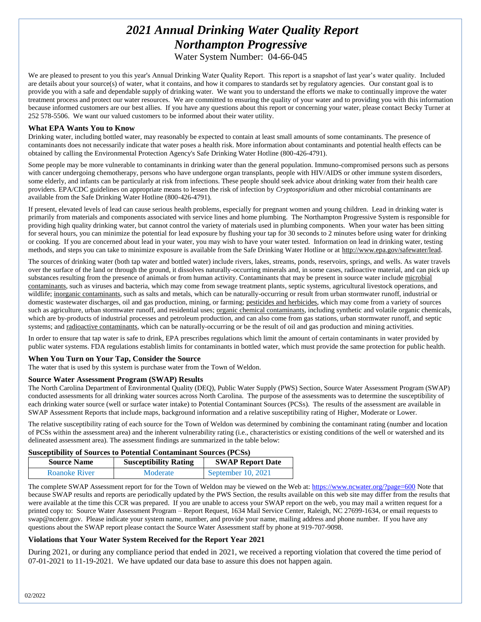# *2021 Annual Drinking Water Quality Report Northampton Progressive*

Water System Number: 04-66-045

We are pleased to present to you this year's Annual Drinking Water Quality Report. This report is a snapshot of last year's water quality. Included are details about your source(s) of water, what it contains, and how it compares to standards set by regulatory agencies. Our constant goal is to provide you with a safe and dependable supply of drinking water. We want you to understand the efforts we make to continually improve the water treatment process and protect our water resources. We are committed to ensuring the quality of your water and to providing you with this information because informed customers are our best allies. If you have any questions about this report or concerning your water, please contact Becky Turner at 252 578-5506. We want our valued customers to be informed about their water utility.

#### **What EPA Wants You to Know**

Drinking water, including bottled water, may reasonably be expected to contain at least small amounts of some contaminants. The presence of contaminants does not necessarily indicate that water poses a health risk. More information about contaminants and potential health effects can be obtained by calling the Environmental Protection Agency's Safe Drinking Water Hotline (800-426-4791).

Some people may be more vulnerable to contaminants in drinking water than the general population. Immuno-compromised persons such as persons with cancer undergoing chemotherapy, persons who have undergone organ transplants, people with HIV/AIDS or other immune system disorders, some elderly, and infants can be particularly at risk from infections. These people should seek advice about drinking water from their health care providers. EPA/CDC guidelines on appropriate means to lessen the risk of infection by *Cryptosporidium* and other microbial contaminants are available from the Safe Drinking Water Hotline (800-426-4791).

If present, elevated levels of lead can cause serious health problems, especially for pregnant women and young children. Lead in drinking water is primarily from materials and components associated with service lines and home plumbing. The Northampton Progressive System is responsible for providing high quality drinking water, but cannot control the variety of materials used in plumbing components. When your water has been sitting for several hours, you can minimize the potential for lead exposure by flushing your tap for 30 seconds to 2 minutes before using water for drinking or cooking. If you are concerned about lead in your water, you may wish to have your water tested. Information on lead in drinking water, testing methods, and steps you can take to minimize exposure is available from the Safe Drinking Water Hotline or at http://www.epa.gov/safewater/lead.

The sources of drinking water (both tap water and bottled water) include rivers, lakes, streams, ponds, reservoirs, springs, and wells. As water travels over the surface of the land or through the ground, it dissolves naturally-occurring minerals and, in some cases, radioactive material, and can pick up substances resulting from the presence of animals or from human activity. Contaminants that may be present in source water include microbial contaminants, such as viruses and bacteria, which may come from sewage treatment plants, septic systems, agricultural livestock operations, and wildlife; inorganic contaminants, such as salts and metals, which can be naturally-occurring or result from urban stormwater runoff, industrial or domestic wastewater discharges, oil and gas production, mining, or farming; pesticides and herbicides, which may come from a variety of sources such as agriculture, urban stormwater runoff, and residential uses; organic chemical contaminants, including synthetic and volatile organic chemicals, which are by-products of industrial processes and petroleum production, and can also come from gas stations, urban stormwater runoff, and septic systems; and radioactive contaminants, which can be naturally-occurring or be the result of oil and gas production and mining activities.

In order to ensure that tap water is safe to drink, EPA prescribes regulations which limit the amount of certain contaminants in water provided by public water systems. FDA regulations establish limits for contaminants in bottled water, which must provide the same protection for public health.

#### **When You Turn on Your Tap, Consider the Source**

The water that is used by this system is purchase water from the Town of Weldon.

#### **Source Water Assessment Program (SWAP) Results**

The North Carolina Department of Environmental Quality (DEQ), Public Water Supply (PWS) Section, Source Water Assessment Program (SWAP) conducted assessments for all drinking water sources across North Carolina. The purpose of the assessments was to determine the susceptibility of each drinking water source (well or surface water intake) to Potential Contaminant Sources (PCSs). The results of the assessment are available in SWAP Assessment Reports that include maps, background information and a relative susceptibility rating of Higher, Moderate or Lower.

The relative susceptibility rating of each source for the Town of Weldon was determined by combining the contaminant rating (number and location of PCSs within the assessment area) and the inherent vulnerability rating (i.e., characteristics or existing conditions of the well or watershed and its delineated assessment area). The assessment findings are summarized in the table below:

# **Susceptibility of Sources to Potential Contaminant Sources (PCSs)**

| <b>Source Name</b>   | <b>Susceptibility Rating</b> | <b>SWAP Report Date</b> |  |
|----------------------|------------------------------|-------------------------|--|
| <b>Roanoke River</b> | Moderate                     | September $10, 2021$    |  |

The complete SWAP Assessment report for for the Town of Weldon may be viewed on the Web at[: https://www.ncwater.org/?page=600](https://www.ncwater.org/?page=600) Note that because SWAP results and reports are periodically updated by the PWS Section, the results available on this web site may differ from the results that were available at the time this CCR was prepared. If you are unable to access your SWAP report on the web, you may mail a written request for a printed copy to: Source Water Assessment Program – Report Request, 1634 Mail Service Center, Raleigh, NC 27699-1634, or email requests to swap@ncdenr.gov. Please indicate your system name, number, and provide your name, mailing address and phone number. If you have any questions about the SWAP report please contact the Source Water Assessment staff by phone at 919-707-9098.

#### **Violations that Your Water System Received for the Report Year 2021**

During 2021, or during any compliance period that ended in 2021, we received a reporting violation that covered the time period of 07-01-2021 to 11-19-2021*.* We have updated our data base to assure this does not happen again.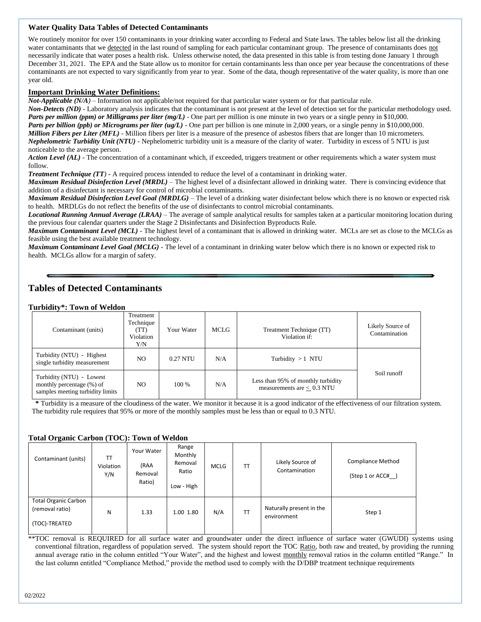# **Water Quality Data Tables of Detected Contaminants**

We routinely monitor for over 150 contaminants in your drinking water according to Federal and State laws. The tables below list all the drinking water contaminants that we detected in the last round of sampling for each particular contaminant group. The presence of contaminants does not necessarily indicate that water poses a health risk. Unless otherwise noted, the data presented in this table is from testing done January 1 through December 31, 2021. The EPA and the State allow us to monitor for certain contaminants less than once per year because the concentrations of these contaminants are not expected to vary significantly from year to year. Some of the data, though representative of the water quality, is more than one year old.

## **Important Drinking Water Definitions:**

*Not-Applicable (N/A)* – Information not applicable/not required for that particular water system or for that particular rule.

*Non-Detects (ND)* - Laboratory analysis indicates that the contaminant is not present at the level of detection set for the particular methodology used. *Parts per million (ppm) or Milligrams per liter (mg/L)* - One part per million is one minute in two years or a single penny in \$10,000. *Parts per billion (ppb) or Micrograms per liter (ug/L)* - One part per billion is one minute in 2,000 years, or a single penny in \$10,000,000. *Million Fibers per Liter (MFL)* - Million fibers per liter is a measure of the presence of asbestos fibers that are longer than 10 micrometers. *Nephelometric Turbidity Unit (NTU)* - Nephelometric turbidity unit is a measure of the clarity of water. Turbidity in excess of 5 NTU is just noticeable to the average person.

*Action Level (AL) -* The concentration of a contaminant which, if exceeded, triggers treatment or other requirements which a water system must follow.

*Treatment Technique (TT)* **-** A required process intended to reduce the level of a contaminant in drinking water.

*Maximum Residual Disinfection Level (MRDL)* – The highest level of a disinfectant allowed in drinking water. There is convincing evidence that addition of a disinfectant is necessary for control of microbial contaminants.

*Maximum Residual Disinfection Level Goal (MRDLG)* – The level of a drinking water disinfectant below which there is no known or expected risk to health. MRDLGs do not reflect the benefits of the use of disinfectants to control microbial contaminants.

*Locational Running Annual Average (LRAA)* – The average of sample analytical results for samples taken at a particular monitoring location during the previous four calendar quarters under the Stage 2 Disinfectants and Disinfection Byproducts Rule.

*Maximum Contaminant Level (MCL)* - The highest level of a contaminant that is allowed in drinking water. MCLs are set as close to the MCLGs as feasible using the best available treatment technology.

*Maximum Contaminant Level Goal (MCLG)* - The level of a contaminant in drinking water below which there is no known or expected risk to health. MCLGs allow for a margin of safety.

# **Tables of Detected Contaminants**

#### **Turbidity\*: Town of Weldon**

| Contaminant (units)                                                                       | Treatment<br>Technique<br>(TT)<br>Violation<br>Y/N | Your Water | MCLG | Treatment Technique (TT)<br>Violation if:                          | Likely Source of<br>Contamination |
|-------------------------------------------------------------------------------------------|----------------------------------------------------|------------|------|--------------------------------------------------------------------|-----------------------------------|
| Turbidity (NTU) - Highest<br>single turbidity measurement                                 | NO.                                                | $0.27$ NTU | N/A  | Turbidity $>1$ NTU                                                 |                                   |
| Turbidity (NTU) - Lowest<br>monthly percentage (%) of<br>samples meeting turbidity limits | NO.                                                | $100\%$    | N/A  | Less than 95% of monthly turbidity<br>measurements are $< 0.3$ NTU | Soil runoff                       |

 **\*** Turbidity is a measure of the cloudiness of the water. We monitor it because it is a good indicator of the effectiveness of our filtration system. The turbidity rule requires that 95% or more of the monthly samples must be less than or equal to 0.3 NTU.

# **Total Organic Carbon (TOC): Town of Weldon**

| - - - - - -<br>Contaminant (units)                              | TΤ<br>Violation<br>Y/N | Your Water<br>(RAA<br>Removal<br>Ratio) | Range<br>Monthly<br>Removal<br>Ratio<br>Low - High | <b>MCLG</b> | TT        | Likely Source of<br>Contamination       | <b>Compliance Method</b><br>(Step 1 or ACC# ) |
|-----------------------------------------------------------------|------------------------|-----------------------------------------|----------------------------------------------------|-------------|-----------|-----------------------------------------|-----------------------------------------------|
| <b>Total Organic Carbon</b><br>(removal ratio)<br>(TOC)-TREATED | N                      | 1.33                                    | 1.00 1.80                                          | N/A         | <b>TT</b> | Naturally present in the<br>environment | Step 1                                        |

\*\*TOC removal is REQUIRED for all surface water and groundwater under the direct influence of surface water (GWUDI) systems using conventional filtration, regardless of population served. The system should report the TOC Ratio, both raw and treated, by providing the running annual average ratio in the column entitled "Your Water", and the highest and lowest monthly removal ratios in the column entitled "Range." In the last column entitled "Compliance Method," provide the method used to comply with the D/DBP treatment technique requirements